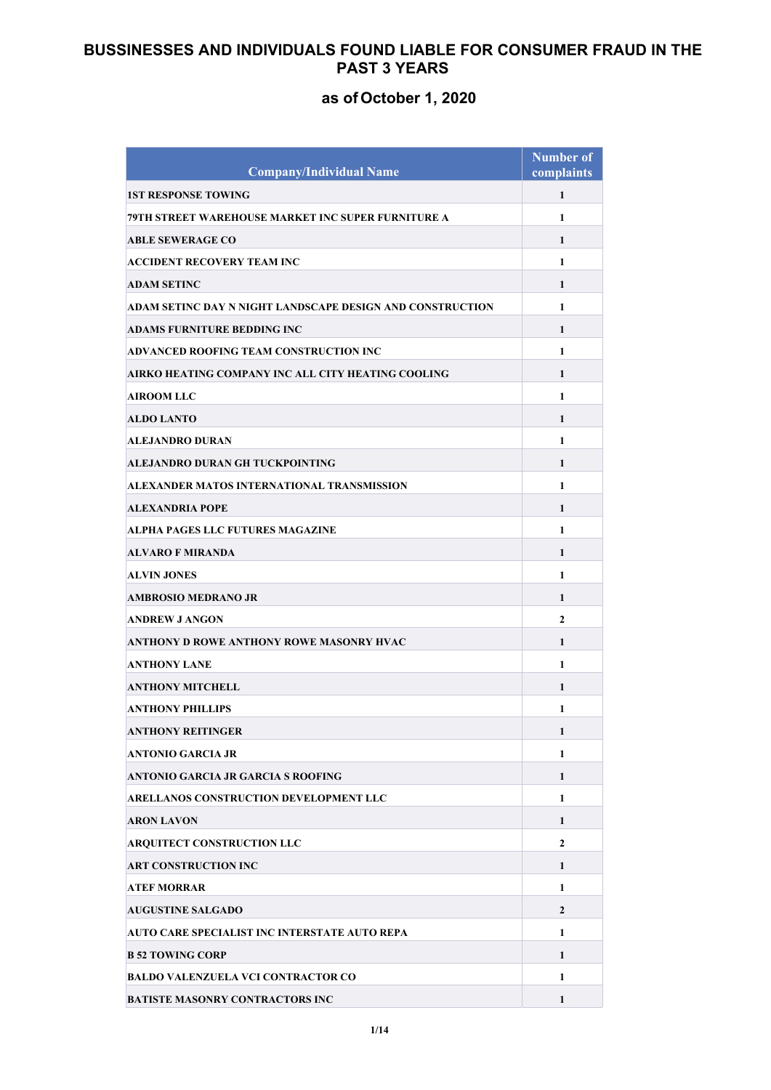| <b>Company/Individual Name</b>                            | <b>Number of</b><br>complaints |
|-----------------------------------------------------------|--------------------------------|
| <b>1ST RESPONSE TOWING</b>                                | $\mathbf{1}$                   |
| 79TH STREET WAREHOUSE MARKET INC SUPER FURNITURE A        | 1                              |
| <b>ABLE SEWERAGE CO</b>                                   | 1                              |
| ACCIDENT RECOVERY TEAM INC                                | 1                              |
| <b>ADAM SETINC</b>                                        | 1                              |
| ADAM SETINC DAY N NIGHT LANDSCAPE DESIGN AND CONSTRUCTION | $\mathbf{1}$                   |
| ADAMS FURNITURE BEDDING INC                               | 1                              |
| ADVANCED ROOFING TEAM CONSTRUCTION INC                    | $\mathbf{1}$                   |
| AIRKO HEATING COMPANY INC ALL CITY HEATING COOLING        | 1                              |
| <b>AIROOM LLC</b>                                         | $\mathbf{1}$                   |
| <b>ALDO LANTO</b>                                         | 1                              |
| <b>ALEJANDRO DURAN</b>                                    | 1                              |
| ALEJANDRO DURAN GH TUCKPOINTING                           | 1                              |
| ALEXANDER MATOS INTERNATIONAL TRANSMISSION                | $\mathbf{1}$                   |
| <b>ALEXANDRIA POPE</b>                                    | 1                              |
| ALPHA PAGES LLC FUTURES MAGAZINE                          | $\mathbf{1}$                   |
| <b>ALVARO F MIRANDA</b>                                   | $\mathbf{1}$                   |
| <b>ALVIN JONES</b>                                        | 1                              |
| AMBROSIO MEDRANO JR                                       | 1                              |
| <b>ANDREW J ANGON</b>                                     | $\mathbf{2}$                   |
| ANTHONY D ROWE ANTHONY ROWE MASONRY HVAC                  | 1                              |
| <b>ANTHONY LANE</b>                                       | $\mathbf{1}$                   |
| ANTHONY MITCHELL                                          | 1                              |
| <b>ANTHONY PHILLIPS</b>                                   | 1                              |
| <b>ANTHONY REITINGER</b>                                  | 1                              |
| <b>ANTONIO GARCIA JR</b>                                  | 1                              |
| <b>ANTONIO GARCIA JR GARCIA S ROOFING</b>                 | 1                              |
| ARELLANOS CONSTRUCTION DEVELOPMENT LLC                    | 1                              |
| <b>ARON LAVON</b>                                         | 1                              |
| ARQUITECT CONSTRUCTION LLC                                | $\mathbf{2}$                   |
| <b>ART CONSTRUCTION INC</b>                               | 1                              |
| <b>ATEF MORRAR</b>                                        | $\mathbf{1}$                   |
| <b>AUGUSTINE SALGADO</b>                                  | $\overline{2}$                 |
| AUTO CARE SPECIALIST INC INTERSTATE AUTO REPA             | 1                              |
| <b>B 52 TOWING CORP</b>                                   | 1                              |
| <b>BALDO VALENZUELA VCI CONTRACTOR CO</b>                 | 1                              |
| <b>BATISTE MASONRY CONTRACTORS INC</b>                    | 1                              |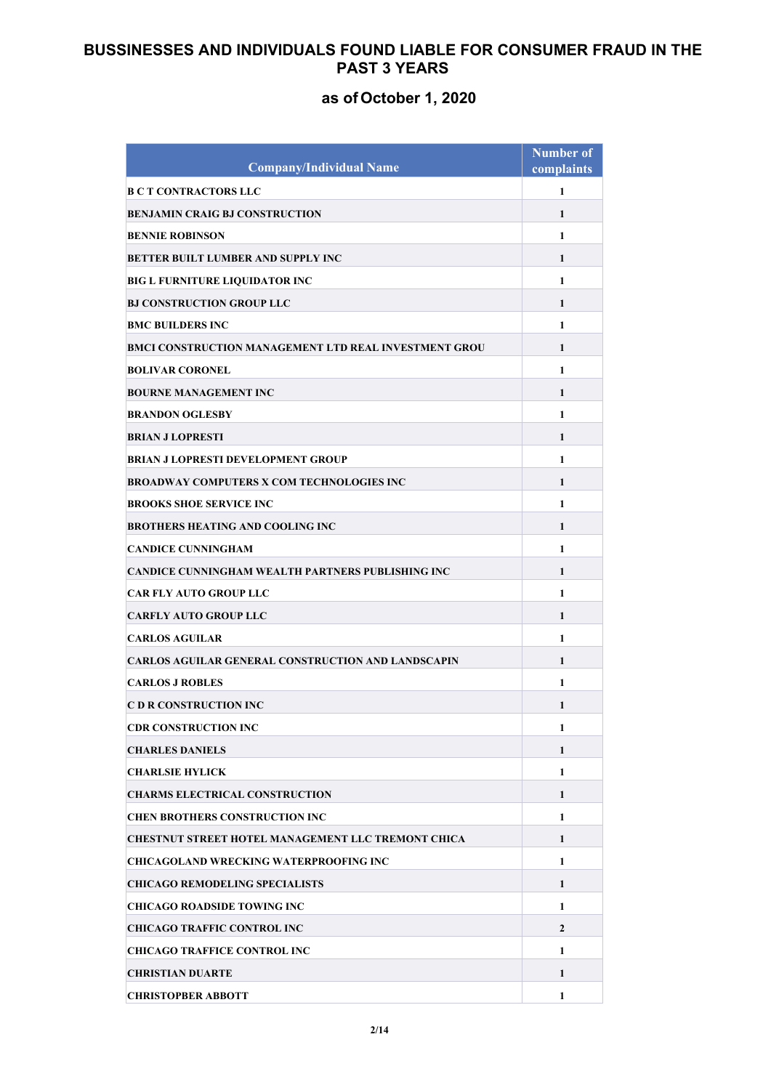| <b>Company/Individual Name</b>                                     | <b>Number of</b><br>complaints |
|--------------------------------------------------------------------|--------------------------------|
| <b>B C T CONTRACTORS LLC</b>                                       | $\mathbf{1}$                   |
| <b>BENJAMIN CRAIG BJ CONSTRUCTION</b>                              | 1                              |
| <b>BENNIE ROBINSON</b>                                             | $\mathbf{1}$                   |
| <b>BETTER BUILT LUMBER AND SUPPLY INC</b>                          | 1                              |
|                                                                    | 1                              |
| BIG L FURNITURE LIQUIDATOR INC<br><b>BJ CONSTRUCTION GROUP LLC</b> | 1                              |
| <b>BMC BUILDERS INC</b>                                            | 1                              |
| BMCI CONSTRUCTION MANAGEMENT LTD REAL INVESTMENT GROU              |                                |
|                                                                    | $\mathbf{1}$                   |
| <b>BOLIVAR CORONEL</b>                                             | 1                              |
| <b>BOURNE MANAGEMENT INC</b>                                       | $\mathbf{1}$                   |
| <b>BRANDON OGLESBY</b>                                             | $\mathbf{1}$                   |
| <b>BRIAN J LOPRESTI</b>                                            | 1                              |
| <b>BRIAN J LOPRESTI DEVELOPMENT GROUP</b>                          | 1                              |
| <b>BROADWAY COMPUTERS X COM TECHNOLOGIES INC</b>                   | 1                              |
| <b>BROOKS SHOE SERVICE INC</b>                                     | $\mathbf{1}$                   |
| <b>BROTHERS HEATING AND COOLING INC</b>                            | 1                              |
| <b>CANDICE CUNNINGHAM</b>                                          | 1                              |
| <b>CANDICE CUNNINGHAM WEALTH PARTNERS PUBLISHING INC</b>           | 1                              |
| <b>CAR FLY AUTO GROUP LLC</b>                                      | $\mathbf{1}$                   |
| <b>CARFLY AUTO GROUP LLC</b>                                       | 1                              |
| <b>CARLOS AGUILAR</b>                                              | 1                              |
| <b>CARLOS AGUILAR GENERAL CONSTRUCTION AND LANDSCAPIN</b>          | 1                              |
| <b>CARLOS J ROBLES</b>                                             | 1                              |
| <b>C D R CONSTRUCTION INC</b>                                      | 1                              |
| <b>CDR CONSTRUCTION INC</b>                                        | 1                              |
| <b>CHARLES DANIELS</b>                                             | 1                              |
| <b>CHARLSIE HYLICK</b>                                             | $\mathbf{1}$                   |
| <b>CHARMS ELECTRICAL CONSTRUCTION</b>                              | 1                              |
| <b>CHEN BROTHERS CONSTRUCTION INC</b>                              | $\mathbf{1}$                   |
| <b>CHESTNUT STREET HOTEL MANAGEMENT LLC TREMONT CHICA</b>          | $\mathbf{1}$                   |
| <b>CHICAGOLAND WRECKING WATERPROOFING INC</b>                      | 1                              |
| <b>CHICAGO REMODELING SPECIALISTS</b>                              | 1                              |
| <b>CHICAGO ROADSIDE TOWING INC</b>                                 | $\mathbf{1}$                   |
| <b>CHICAGO TRAFFIC CONTROL INC</b>                                 | $\overline{2}$                 |
| <b>CHICAGO TRAFFICE CONTROL INC</b>                                | $\mathbf{1}$                   |
| <b>CHRISTIAN DUARTE</b>                                            | 1                              |
| <b>CHRISTOPBER ABBOTT</b>                                          | 1                              |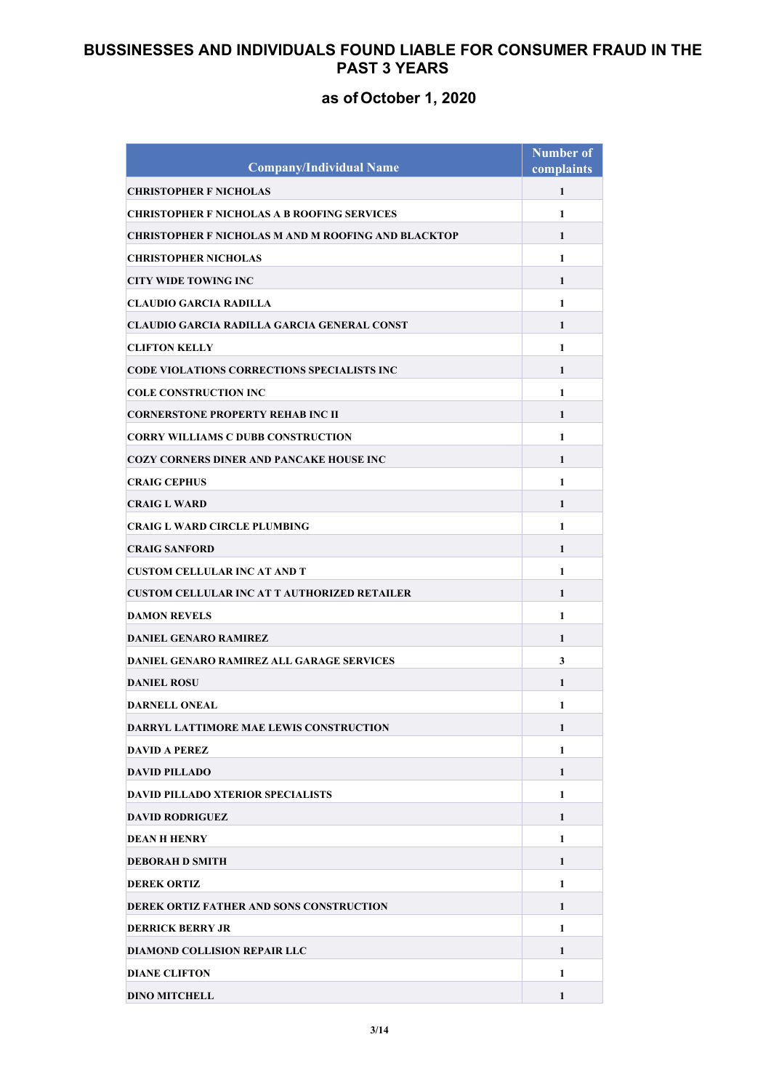| <b>Company/Individual Name</b>                             | <b>Number of</b><br>complaints |
|------------------------------------------------------------|--------------------------------|
| <b>CHRISTOPHER F NICHOLAS</b>                              | $\mathbf{1}$                   |
| <b>CHRISTOPHER F NICHOLAS A B ROOFING SERVICES</b>         | $\mathbf{1}$                   |
| <b>CHRISTOPHER F NICHOLAS M AND M ROOFING AND BLACKTOP</b> | $\mathbf{1}$                   |
| <b>CHRISTOPHER NICHOLAS</b>                                | $\mathbf{1}$                   |
| <b>CITY WIDE TOWING INC</b>                                | 1                              |
| <b>CLAUDIO GARCIA RADILLA</b>                              | $\mathbf{1}$                   |
| CLAUDIO GARCIA RADILLA GARCIA GENERAL CONST                | 1                              |
| <b>CLIFTON KELLY</b>                                       | $\mathbf{1}$                   |
| <b>CODE VIOLATIONS CORRECTIONS SPECIALISTS INC</b>         | $\mathbf{1}$                   |
| <b>COLE CONSTRUCTION INC</b>                               | $\mathbf{1}$                   |
| <b>CORNERSTONE PROPERTY REHAB INC II</b>                   | $\mathbf{1}$                   |
| <b>CORRY WILLIAMS C DUBB CONSTRUCTION</b>                  | $\mathbf{1}$                   |
| <b>COZY CORNERS DINER AND PANCAKE HOUSE INC</b>            | 1                              |
| <b>CRAIG CEPHUS</b>                                        | $\mathbf{1}$                   |
| <b>CRAIG L WARD</b>                                        | $\mathbf{1}$                   |
| <b>CRAIG L WARD CIRCLE PLUMBING</b>                        | $\mathbf{1}$                   |
| <b>CRAIG SANFORD</b>                                       | $\mathbf{1}$                   |
| <b>CUSTOM CELLULAR INC AT AND T</b>                        | $\mathbf{1}$                   |
| <b>CUSTOM CELLULAR INC AT T AUTHORIZED RETAILER</b>        | $\mathbf{1}$                   |
| <b>DAMON REVELS</b>                                        | $\mathbf{1}$                   |
| <b>DANIEL GENARO RAMIREZ</b>                               | 1                              |
| <b>DANIEL GENARO RAMIREZ ALL GARAGE SERVICES</b>           | 3                              |
| <b>DANIEL ROSU</b>                                         | 1                              |
| DARNELL ONEAL                                              | 1                              |
| DARRYL LATTIMORE MAE LEWIS CONSTRUCTION                    | 1                              |
| <b>DAVID A PEREZ</b>                                       | 1                              |
| <b>DAVID PILLADO</b>                                       | $\mathbf{1}$                   |
| <b>DAVID PILLADO XTERIOR SPECIALISTS</b>                   | 1                              |
| <b>DAVID RODRIGUEZ</b>                                     | $\mathbf{1}$                   |
| <b>DEAN H HENRY</b>                                        | 1                              |
| <b>DEBORAH D SMITH</b>                                     | 1                              |
| <b>DEREK ORTIZ</b>                                         | 1                              |
| DEREK ORTIZ FATHER AND SONS CONSTRUCTION                   | $\mathbf{1}$                   |
| <b>DERRICK BERRY JR</b>                                    | $\mathbf{1}$                   |
| <b>DIAMOND COLLISION REPAIR LLC</b>                        | $\mathbf{1}$                   |
| <b>DIANE CLIFTON</b>                                       | $\mathbf{1}$                   |
| <b>DINO MITCHELL</b>                                       | $\mathbf{1}$                   |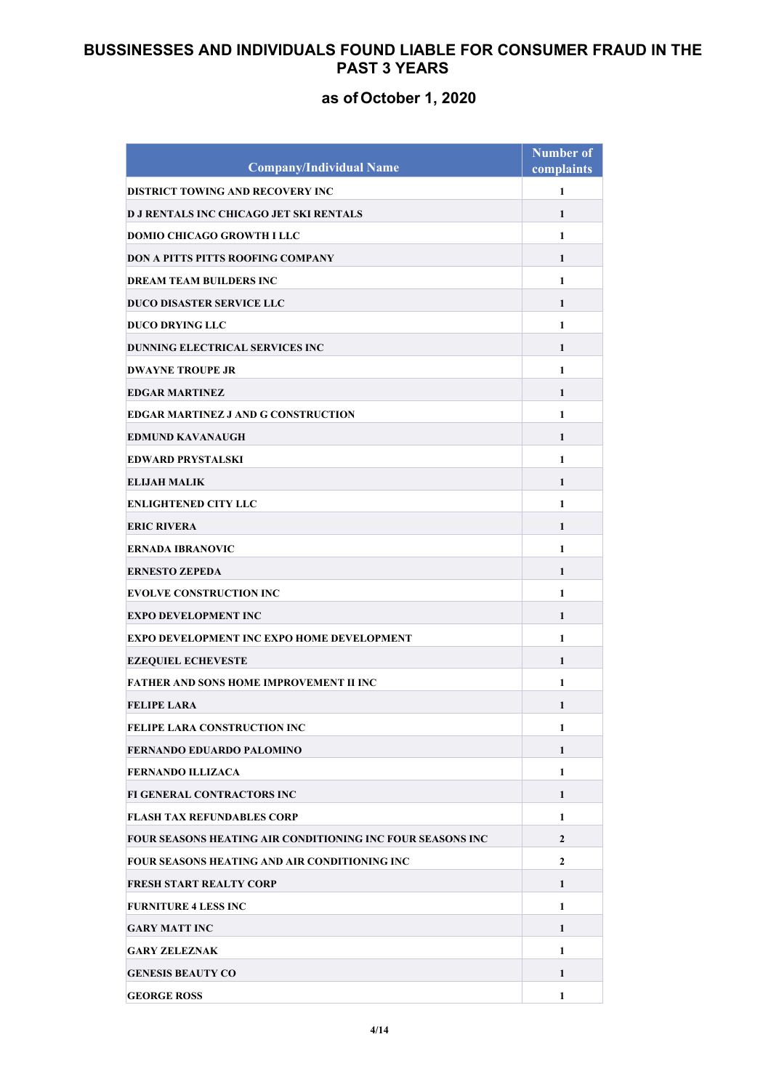| <b>Company/Individual Name</b>                             | <b>Number of</b><br>complaints |
|------------------------------------------------------------|--------------------------------|
| DISTRICT TOWING AND RECOVERY INC                           | $\mathbf{1}$                   |
| <b>D J RENTALS INC CHICAGO JET SKI RENTALS</b>             | $\mathbf{1}$                   |
| <b>DOMIO CHICAGO GROWTH I LLC</b>                          | $\mathbf{1}$                   |
| DON A PITTS PITTS ROOFING COMPANY                          | 1                              |
| <b>DREAM TEAM BUILDERS INC</b>                             | 1                              |
| <b>DUCO DISASTER SERVICE LLC</b>                           | 1                              |
| <b>DUCO DRYING LLC</b>                                     | $\mathbf{1}$                   |
| <b>DUNNING ELECTRICAL SERVICES INC</b>                     | $\mathbf{1}$                   |
| <b>DWAYNE TROUPE JR</b>                                    | $\mathbf{1}$                   |
| <b>EDGAR MARTINEZ</b>                                      | $\mathbf{1}$                   |
| <b>EDGAR MARTINEZ J AND G CONSTRUCTION</b>                 | $\mathbf{1}$                   |
| <b>EDMUND KAVANAUGH</b>                                    | 1                              |
| <b>EDWARD PRYSTALSKI</b>                                   | $\mathbf{1}$                   |
| <b>ELIJAH MALIK</b>                                        | $\mathbf{1}$                   |
| <b>ENLIGHTENED CITY LLC</b>                                | $\mathbf{1}$                   |
| <b>ERIC RIVERA</b>                                         | 1                              |
| <b>ERNADA IBRANOVIC</b>                                    | $\mathbf{1}$                   |
| <b>ERNESTO ZEPEDA</b>                                      | $\mathbf{1}$                   |
| <b>EVOLVE CONSTRUCTION INC</b>                             | $\mathbf{1}$                   |
| <b>EXPO DEVELOPMENT INC</b>                                | 1                              |
| EXPO DEVELOPMENT INC EXPO HOME DEVELOPMENT                 | 1                              |
| <b>EZEQUIEL ECHEVESTE</b>                                  | 1                              |
| <b>FATHER AND SONS HOME IMPROVEMENT II INC</b>             | 1                              |
| <b>FELIPE LARA</b>                                         | 1                              |
| <b>FELIPE LARA CONSTRUCTION INC</b>                        | 1                              |
| <b>FERNANDO EDUARDO PALOMINO</b>                           | 1                              |
| <b>FERNANDO ILLIZACA</b>                                   | $\mathbf{1}$                   |
| FI GENERAL CONTRACTORS INC                                 | 1                              |
| <b>FLASH TAX REFUNDABLES CORP</b>                          | 1                              |
| FOUR SEASONS HEATING AIR CONDITIONING INC FOUR SEASONS INC | $\overline{2}$                 |
| FOUR SEASONS HEATING AND AIR CONDITIONING INC              | $\mathbf{2}$                   |
| FRESH START REALTY CORP                                    | 1                              |
| <b>FURNITURE 4 LESS INC</b>                                | 1                              |
| <b>GARY MATT INC</b>                                       | 1                              |
| <b>GARY ZELEZNAK</b>                                       | 1                              |
| <b>GENESIS BEAUTY CO</b>                                   | 1                              |
| <b>GEORGE ROSS</b>                                         | 1                              |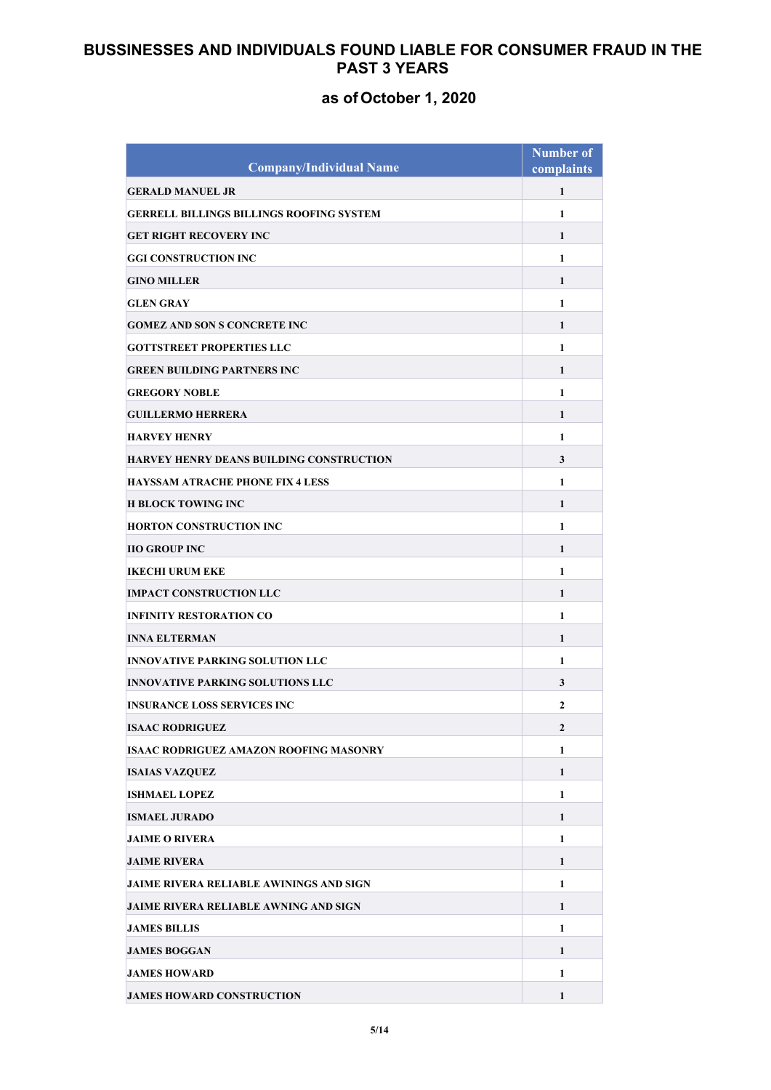| <b>Company/Individual Name</b>                  | <b>Number of</b><br>complaints |
|-------------------------------------------------|--------------------------------|
| <b>GERALD MANUEL JR</b>                         | $\mathbf{1}$                   |
| <b>GERRELL BILLINGS BILLINGS ROOFING SYSTEM</b> | $\mathbf{1}$                   |
| <b>GET RIGHT RECOVERY INC</b>                   | $\mathbf{1}$                   |
| <b>GGI CONSTRUCTION INC</b>                     | $\mathbf{1}$                   |
| <b>GINO MILLER</b>                              | 1                              |
| <b>GLEN GRAY</b>                                | $\mathbf{1}$                   |
| <b>GOMEZ AND SON S CONCRETE INC</b>             | $\mathbf{1}$                   |
| <b>GOTTSTREET PROPERTIES LLC</b>                | $\mathbf{1}$                   |
| <b>GREEN BUILDING PARTNERS INC</b>              | $\mathbf{1}$                   |
| <b>GREGORY NOBLE</b>                            | $\mathbf{1}$                   |
| <b>GUILLERMO HERRERA</b>                        | $\mathbf{1}$                   |
| <b>HARVEY HENRY</b>                             | $\mathbf{1}$                   |
| <b>HARVEY HENRY DEANS BUILDING CONSTRUCTION</b> | 3                              |
| <b>HAYSSAM ATRACHE PHONE FIX 4 LESS</b>         | $\mathbf{1}$                   |
| <b>H BLOCK TOWING INC</b>                       | $\mathbf{1}$                   |
| <b>HORTON CONSTRUCTION INC</b>                  | $\mathbf{1}$                   |
| <b>IIO GROUP INC</b>                            | $\mathbf{1}$                   |
| <b>IKECHI URUM EKE</b>                          | $\mathbf{1}$                   |
| <b>IMPACT CONSTRUCTION LLC</b>                  | $\mathbf{1}$                   |
| <b>INFINITY RESTORATION CO</b>                  | $\mathbf{1}$                   |
| <b>INNA ELTERMAN</b>                            | 1                              |
| <b>INNOVATIVE PARKING SOLUTION LLC</b>          | 1                              |
| <b>INNOVATIVE PARKING SOLUTIONS LLC</b>         | 3                              |
| <b>INSURANCE LOSS SERVICES INC</b>              | $\mathbf{2}$                   |
| <b>ISAAC RODRIGUEZ</b>                          | 2                              |
| <b>ISAAC RODRIGUEZ AMAZON ROOFING MASONRY</b>   | 1                              |
| <b>ISAIAS VAZQUEZ</b>                           | $\mathbf{1}$                   |
| <b>ISHMAEL LOPEZ</b>                            | 1                              |
| <b>ISMAEL JURADO</b>                            | 1                              |
| <b>JAIME O RIVERA</b>                           | 1                              |
| <b>JAIME RIVERA</b>                             | 1                              |
| <b>JAIME RIVERA RELIABLE AWININGS AND SIGN</b>  | $\mathbf{1}$                   |
| <b>JAIME RIVERA RELIABLE AWNING AND SIGN</b>    | $\mathbf{1}$                   |
| <b>JAMES BILLIS</b>                             | $\mathbf{1}$                   |
| <b>JAMES BOGGAN</b>                             | $\mathbf{1}$                   |
| <b>JAMES HOWARD</b>                             | 1                              |
| <b>JAMES HOWARD CONSTRUCTION</b>                | $\mathbf{1}$                   |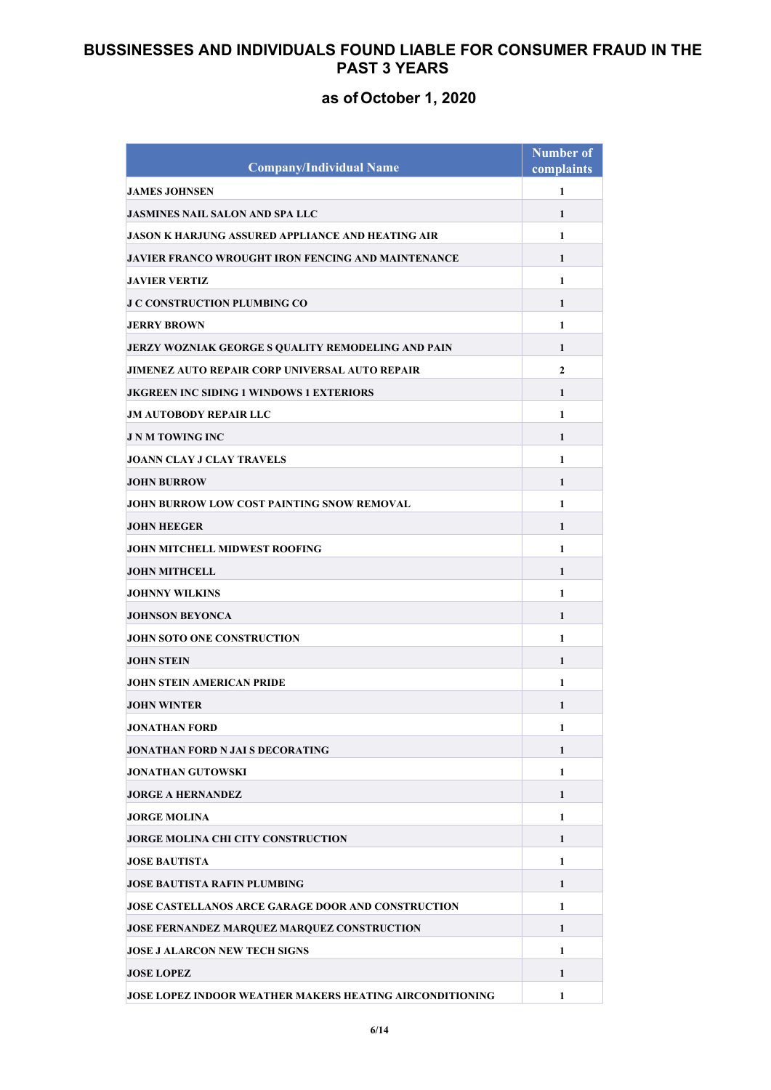| <b>Company/Individual Name</b>                                  | <b>Number of</b><br>complaints |
|-----------------------------------------------------------------|--------------------------------|
| <b>JAMES JOHNSEN</b>                                            | $\mathbf{1}$                   |
| <b>JASMINES NAIL SALON AND SPA LLC</b>                          | $\mathbf{1}$                   |
| JASON K HARJUNG ASSURED APPLIANCE AND HEATING AIR               | $\mathbf{1}$                   |
| <b>JAVIER FRANCO WROUGHT IRON FENCING AND MAINTENANCE</b>       | 1                              |
| <b>JAVIER VERTIZ</b>                                            | $\mathbf{1}$                   |
| <b>J C CONSTRUCTION PLUMBING CO</b>                             | 1                              |
| <b>JERRY BROWN</b>                                              | $\mathbf{1}$                   |
| <b>JERZY WOZNIAK GEORGE S QUALITY REMODELING AND PAIN</b>       | 1                              |
| <b>JIMENEZ AUTO REPAIR CORP UNIVERSAL AUTO REPAIR</b>           | $\mathbf{2}$                   |
| <b>JKGREEN INC SIDING 1 WINDOWS 1 EXTERIORS</b>                 | 1                              |
| <b>JM AUTOBODY REPAIR LLC</b>                                   | $\mathbf{1}$                   |
| <b>J N M TOWING INC</b>                                         | 1                              |
| <b>JOANN CLAY J CLAY TRAVELS</b>                                | 1                              |
| <b>JOHN BURROW</b>                                              | 1                              |
| JOHN BURROW LOW COST PAINTING SNOW REMOVAL                      | $\mathbf{1}$                   |
| <b>JOHN HEEGER</b>                                              | 1                              |
| <b>JOHN MITCHELL MIDWEST ROOFING</b>                            | $\mathbf{1}$                   |
| <b>JOHN MITHCELL</b>                                            | 1                              |
| <b>JOHNNY WILKINS</b>                                           | $\mathbf{1}$                   |
| <b>JOHNSON BEYONCA</b>                                          | 1                              |
| <b>JOHN SOTO ONE CONSTRUCTION</b>                               | 1                              |
| <b>JOHN STEIN</b>                                               | 1                              |
| <b>JOHN STEIN AMERICAN PRIDE</b>                                | 1                              |
| <b>JOHN WINTER</b>                                              | 1                              |
| JONATHAN FORD                                                   | 1                              |
| JONATHAN FORD N JAI S DECORATING                                | 1                              |
| <b>JONATHAN GUTOWSKI</b>                                        | $\mathbf{1}$                   |
| <b>JORGE A HERNANDEZ</b>                                        | 1                              |
| <b>JORGE MOLINA</b>                                             | 1                              |
| <b>JORGE MOLINA CHI CITY CONSTRUCTION</b>                       | 1                              |
| <b>JOSE BAUTISTA</b>                                            | 1                              |
| <b>JOSE BAUTISTA RAFIN PLUMBING</b>                             | 1                              |
| <b>JOSE CASTELLANOS ARCE GARAGE DOOR AND CONSTRUCTION</b>       | $\mathbf{1}$                   |
| JOSE FERNANDEZ MARQUEZ MARQUEZ CONSTRUCTION                     | $\mathbf{1}$                   |
| <b>JOSE J ALARCON NEW TECH SIGNS</b>                            | $\mathbf{1}$                   |
| <b>JOSE LOPEZ</b>                                               | 1                              |
| <b>JOSE LOPEZ INDOOR WEATHER MAKERS HEATING AIRCONDITIONING</b> | 1                              |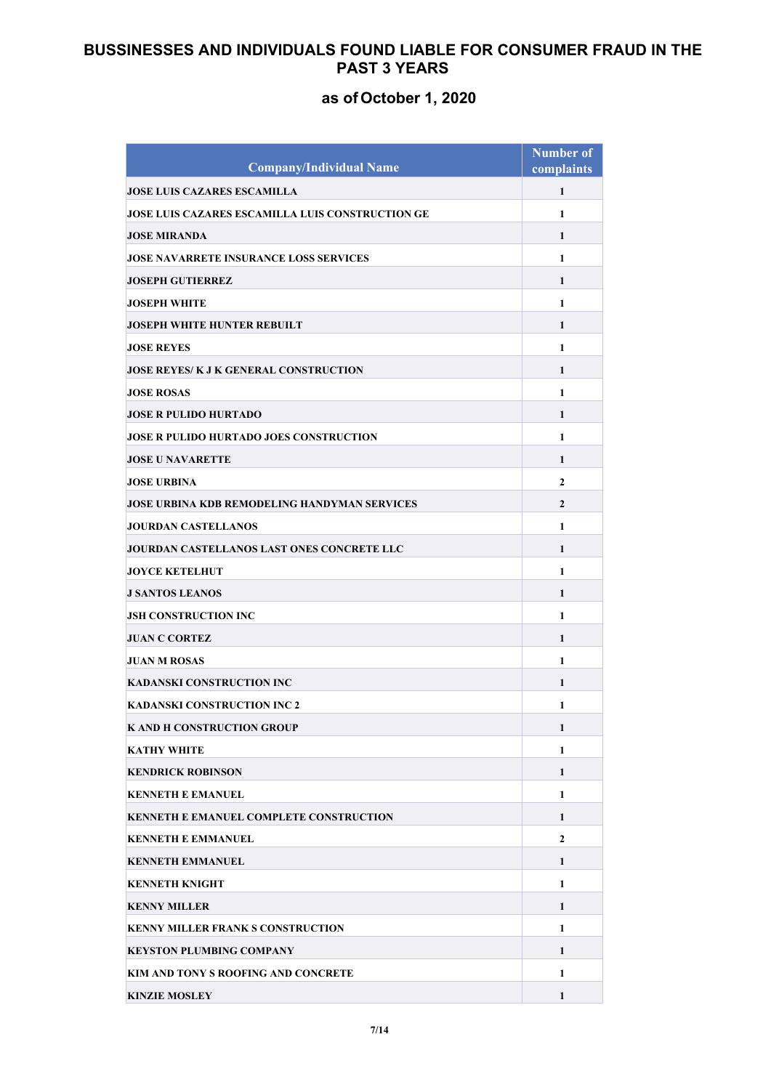| <b>Company/Individual Name</b>                          | <b>Number of</b><br>complaints |
|---------------------------------------------------------|--------------------------------|
| <b>JOSE LUIS CAZARES ESCAMILLA</b>                      | 1                              |
| <b>JOSE LUIS CAZARES ESCAMILLA LUIS CONSTRUCTION GE</b> | $\mathbf{1}$                   |
| <b>JOSE MIRANDA</b>                                     | $\mathbf{1}$                   |
| <b>JOSE NAVARRETE INSURANCE LOSS SERVICES</b>           | $\mathbf{1}$                   |
|                                                         |                                |
| <b>JOSEPH GUTIERREZ</b><br><b>JOSEPH WHITE</b>          | 1                              |
|                                                         | 1                              |
| JOSEPH WHITE HUNTER REBUILT                             | 1                              |
| <b>JOSE REYES</b>                                       | 1                              |
| <b>JOSE REYES/ K J K GENERAL CONSTRUCTION</b>           | 1                              |
| <b>JOSE ROSAS</b>                                       | $\mathbf{1}$                   |
| <b>JOSE R PULIDO HURTADO</b>                            | 1                              |
| JOSE R PULIDO HURTADO JOES CONSTRUCTION                 | $\mathbf{1}$                   |
| <b>JOSE U NAVARETTE</b>                                 | 1                              |
| <b>JOSE URBINA</b>                                      | $\overline{2}$                 |
| JOSE URBINA KDB REMODELING HANDYMAN SERVICES            | $\overline{2}$                 |
| <b>JOURDAN CASTELLANOS</b>                              | $\mathbf{1}$                   |
| JOURDAN CASTELLANOS LAST ONES CONCRETE LLC              | 1                              |
| <b>JOYCE KETELHUT</b>                                   | $\mathbf{1}$                   |
| <b>J SANTOS LEANOS</b>                                  | $\mathbf{1}$                   |
| <b>JSH CONSTRUCTION INC</b>                             | $\mathbf{1}$                   |
| <b>JUAN C CORTEZ</b>                                    | 1                              |
| <b>JUAN M ROSAS</b>                                     | 1                              |
| KADANSKI CONSTRUCTION INC                               | 1                              |
| <b>KADANSKI CONSTRUCTION INC 2</b>                      | 1                              |
| K AND H CONSTRUCTION GROUP                              | 1                              |
| <b>KATHY WHITE</b>                                      | 1                              |
| <b>KENDRICK ROBINSON</b>                                | $\mathbf{1}$                   |
| <b>KENNETH E EMANUEL</b>                                | 1                              |
| <b>KENNETH E EMANUEL COMPLETE CONSTRUCTION</b>          | 1                              |
| <b>KENNETH E EMMANUEL</b>                               | $\overline{2}$                 |
| <b>KENNETH EMMANUEL</b>                                 | $\mathbf{1}$                   |
| <b>KENNETH KNIGHT</b>                                   | 1                              |
| <b>KENNY MILLER</b>                                     | 1                              |
| <b>KENNY MILLER FRANK S CONSTRUCTION</b>                | $\mathbf{1}$                   |
| <b>KEYSTON PLUMBING COMPANY</b>                         | $\mathbf{1}$                   |
| KIM AND TONY S ROOFING AND CONCRETE                     | $\mathbf{1}$                   |
| <b>KINZIE MOSLEY</b>                                    | $\mathbf{1}$                   |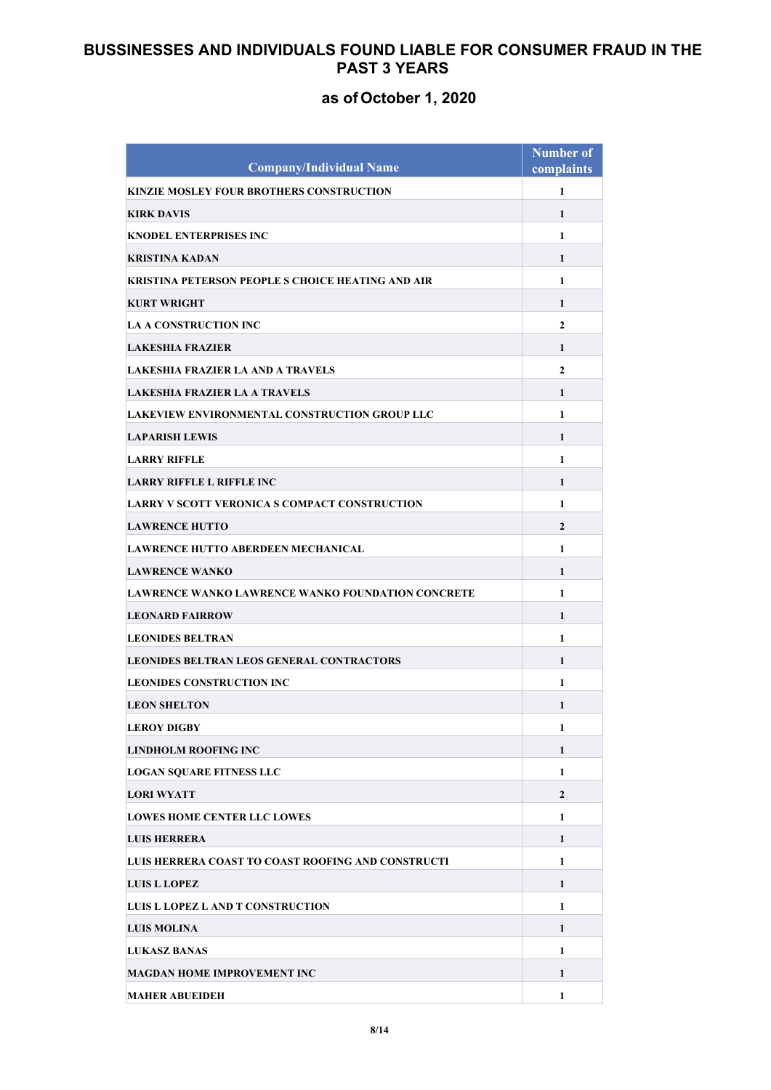| <b>Company/Individual Name</b>                       | <b>Number of</b><br>complaints |
|------------------------------------------------------|--------------------------------|
| KINZIE MOSLEY FOUR BROTHERS CONSTRUCTION             | $\mathbf{1}$                   |
| <b>KIRK DAVIS</b>                                    | 1                              |
| <b>KNODEL ENTERPRISES INC</b>                        | 1                              |
| <b>KRISTINA KADAN</b>                                | 1                              |
| KRISTINA PETERSON PEOPLE S CHOICE HEATING AND AIR    | 1                              |
| <b>KURT WRIGHT</b>                                   | 1                              |
| <b>LA A CONSTRUCTION INC</b>                         | $\mathbf{2}$                   |
| <b>LAKESHIA FRAZIER</b>                              | 1                              |
| <b>LAKESHIA FRAZIER LA AND A TRAVELS</b>             | $\mathbf{2}$                   |
| <b>LAKESHIA FRAZIER LA A TRAVELS</b>                 | $\mathbf{1}$                   |
| LAKEVIEW ENVIRONMENTAL CONSTRUCTION GROUP LLC        | 1                              |
| <b>LAPARISH LEWIS</b>                                | 1                              |
| <b>LARRY RIFFLE</b>                                  | 1                              |
| <b>LARRY RIFFLE L RIFFLE INC</b>                     | 1                              |
| <b>LARRY V SCOTT VERONICA S COMPACT CONSTRUCTION</b> | 1                              |
| <b>LAWRENCE HUTTO</b>                                | $\mathbf{2}$                   |
| <b>LAWRENCE HUTTO ABERDEEN MECHANICAL</b>            | $\mathbf{1}$                   |
| <b>LAWRENCE WANKO</b>                                | $\mathbf{1}$                   |
| LAWRENCE WANKO LAWRENCE WANKO FOUNDATION CONCRETE    | 1                              |
| <b>LEONARD FAIRROW</b>                               | 1                              |
| <b>LEONIDES BELTRAN</b>                              | 1                              |
| <b>LEONIDES BELTRAN LEOS GENERAL CONTRACTORS</b>     | 1                              |
| <b>LEONIDES CONSTRUCTION INC</b>                     | 1                              |
| <b>LEON SHELTON</b>                                  | 1                              |
| <b>LEROY DIGBY</b>                                   | 1                              |
| <b>LINDHOLM ROOFING INC</b>                          | 1                              |
| <b>LOGAN SOUARE FITNESS LLC</b>                      | 1                              |
| <b>LORI WYATT</b>                                    | $\overline{2}$                 |
| <b>LOWES HOME CENTER LLC LOWES</b>                   | $\mathbf{1}$                   |
| <b>LUIS HERRERA</b>                                  | 1                              |
| LUIS HERRERA COAST TO COAST ROOFING AND CONSTRUCTI   | 1                              |
| <b>LUIS L LOPEZ</b>                                  | 1                              |
| LUIS L LOPEZ L AND T CONSTRUCTION                    | 1                              |
| <b>LUIS MOLINA</b>                                   | $\mathbf{1}$                   |
| <b>LUKASZ BANAS</b>                                  | 1                              |
| MAGDAN HOME IMPROVEMENT INC                          | 1                              |
| <b>MAHER ABUEIDEH</b>                                | 1                              |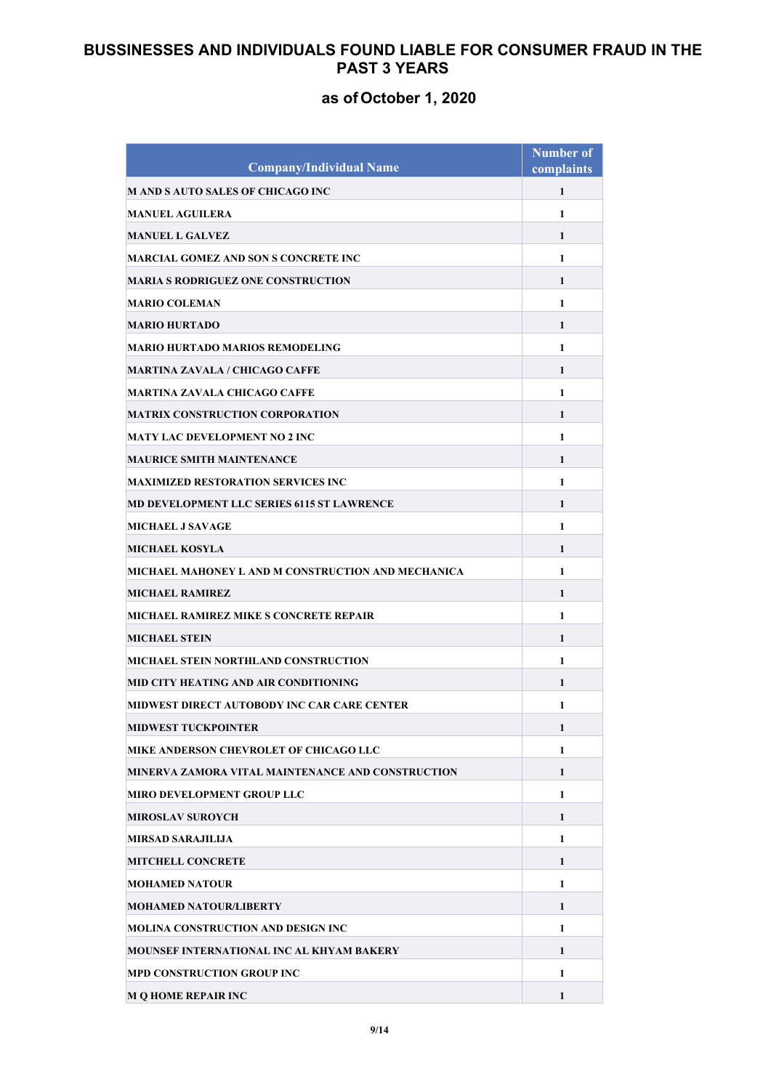| <b>Company/Individual Name</b>                     | <b>Number of</b><br>complaints |
|----------------------------------------------------|--------------------------------|
| M AND S AUTO SALES OF CHICAGO INC                  | 1                              |
| <b>MANUEL AGUILERA</b>                             | $\mathbf{1}$                   |
| <b>MANUEL L GALVEZ</b>                             | $\mathbf{1}$                   |
| MARCIAL GOMEZ AND SON S CONCRETE INC               | $\mathbf{1}$                   |
| <b>MARIA S RODRIGUEZ ONE CONSTRUCTION</b>          | 1                              |
| <b>MARIO COLEMAN</b>                               | 1                              |
| <b>MARIO HURTADO</b>                               | 1                              |
| MARIO HURTADO MARIOS REMODELING                    | $\mathbf{1}$                   |
| MARTINA ZAVALA / CHICAGO CAFFE                     | 1                              |
| MARTINA ZAVALA CHICAGO CAFFE                       | $\mathbf{1}$                   |
| <b>MATRIX CONSTRUCTION CORPORATION</b>             | $\mathbf{1}$                   |
| <b>MATY LAC DEVELOPMENT NO 2 INC.</b>              | $\mathbf{1}$                   |
| <b>MAURICE SMITH MAINTENANCE</b>                   | 1                              |
| <b>MAXIMIZED RESTORATION SERVICES INC</b>          | 1                              |
| MD DEVELOPMENT LLC SERIES 6115 ST LAWRENCE         | $\mathbf{1}$                   |
| <b>MICHAEL J SAVAGE</b>                            | 1                              |
| <b>MICHAEL KOSYLA</b>                              | $\mathbf{1}$                   |
| MICHAEL MAHONEY L AND M CONSTRUCTION AND MECHANICA | $\mathbf{1}$                   |
| <b>MICHAEL RAMIREZ</b>                             | $\mathbf{1}$                   |
| MICHAEL RAMIREZ MIKE S CONCRETE REPAIR             | 1                              |
| <b>MICHAEL STEIN</b>                               | 1                              |
| MICHAEL STEIN NORTHLAND CONSTRUCTION               | 1                              |
| MID CITY HEATING AND AIR CONDITIONING              | 1                              |
| MIDWEST DIRECT AUTOBODY INC CAR CARE CENTER        | 1                              |
| <b>MIDWEST TUCKPOINTER</b>                         | 1                              |
| MIKE ANDERSON CHEVROLET OF CHICAGO LLC             | $\mathbf{1}$                   |
| MINERVA ZAMORA VITAL MAINTENANCE AND CONSTRUCTION  | $\mathbf{1}$                   |
| <b>MIRO DEVELOPMENT GROUP LLC</b>                  | $\mathbf{1}$                   |
| <b>MIROSLAV SUROYCH</b>                            | 1                              |
| MIRSAD SARAJILIJA                                  | $\mathbf{1}$                   |
| <b>MITCHELL CONCRETE</b>                           | 1                              |
| <b>MOHAMED NATOUR</b>                              | $\mathbf{1}$                   |
| <b>MOHAMED NATOUR/LIBERTY</b>                      | 1                              |
| MOLINA CONSTRUCTION AND DESIGN INC                 | $\mathbf{1}$                   |
| MOUNSEF INTERNATIONAL INC AL KHYAM BAKERY          | $\mathbf{1}$                   |
| <b>MPD CONSTRUCTION GROUP INC</b>                  | $\mathbf{1}$                   |
| <b>M Q HOME REPAIR INC</b>                         | $\mathbf{1}$                   |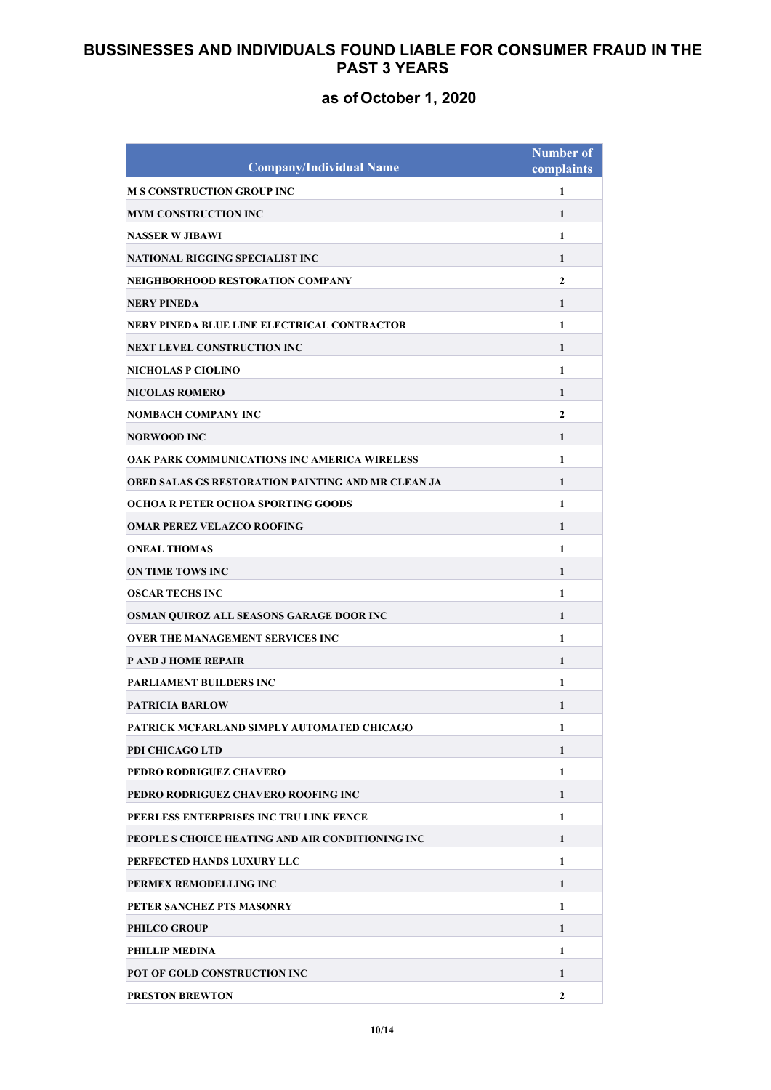| <b>Company/Individual Name</b>                            | <b>Number of</b><br>complaints |
|-----------------------------------------------------------|--------------------------------|
| <b>M S CONSTRUCTION GROUP INC</b>                         | 1                              |
| MYM CONSTRUCTION INC                                      | $\mathbf{1}$                   |
| <b>NASSER W JIBAWI</b>                                    | $\mathbf{1}$                   |
| NATIONAL RIGGING SPECIALIST INC                           | 1                              |
| NEIGHBORHOOD RESTORATION COMPANY                          | $\mathbf{2}$                   |
| <b>NERY PINEDA</b>                                        | 1                              |
| NERY PINEDA BLUE LINE ELECTRICAL CONTRACTOR               | 1                              |
| NEXT LEVEL CONSTRUCTION INC                               | $\mathbf{1}$                   |
| NICHOLAS P CIOLINO                                        | 1                              |
| <b>NICOLAS ROMERO</b>                                     | $\mathbf{1}$                   |
| NOMBACH COMPANY INC                                       | $\mathbf{2}$                   |
| NORWOOD INC                                               | 1                              |
| OAK PARK COMMUNICATIONS INC AMERICA WIRELESS              | 1                              |
| <b>OBED SALAS GS RESTORATION PAINTING AND MR CLEAN JA</b> | 1                              |
| OCHOA R PETER OCHOA SPORTING GOODS                        | 1                              |
| <b>OMAR PEREZ VELAZCO ROOFING</b>                         | 1                              |
| <b>ONEAL THOMAS</b>                                       | $\mathbf{1}$                   |
| <b>ON TIME TOWS INC</b>                                   | 1                              |
| <b>OSCAR TECHS INC</b>                                    | $\mathbf{1}$                   |
| OSMAN QUIROZ ALL SEASONS GARAGE DOOR INC                  | 1                              |
| <b>OVER THE MANAGEMENT SERVICES INC</b>                   | 1                              |
| <b>P AND J HOME REPAIR</b>                                | 1                              |
| <b>PARLIAMENT BUILDERS INC</b>                            | 1                              |
| <b>PATRICIA BARLOW</b>                                    | 1                              |
| PATRICK MCFARLAND SIMPLY AUTOMATED CHICAGO                | 1                              |
| PDI CHICAGO LTD                                           | 1                              |
| PEDRO RODRIGUEZ CHAVERO                                   | $\mathbf{1}$                   |
| PEDRO RODRIGUEZ CHAVERO ROOFING INC                       | 1                              |
| PEERLESS ENTERPRISES INC TRU LINK FENCE                   | $\mathbf{1}$                   |
| PEOPLE S CHOICE HEATING AND AIR CONDITIONING INC          | 1                              |
| PERFECTED HANDS LUXURY LLC                                | $\mathbf{1}$                   |
| PERMEX REMODELLING INC                                    | 1                              |
| PETER SANCHEZ PTS MASONRY                                 | 1                              |
| <b>PHILCO GROUP</b>                                       | 1                              |
| PHILLIP MEDINA                                            | 1                              |
| POT OF GOLD CONSTRUCTION INC                              | 1                              |
| <b>PRESTON BREWTON</b>                                    | $\overline{2}$                 |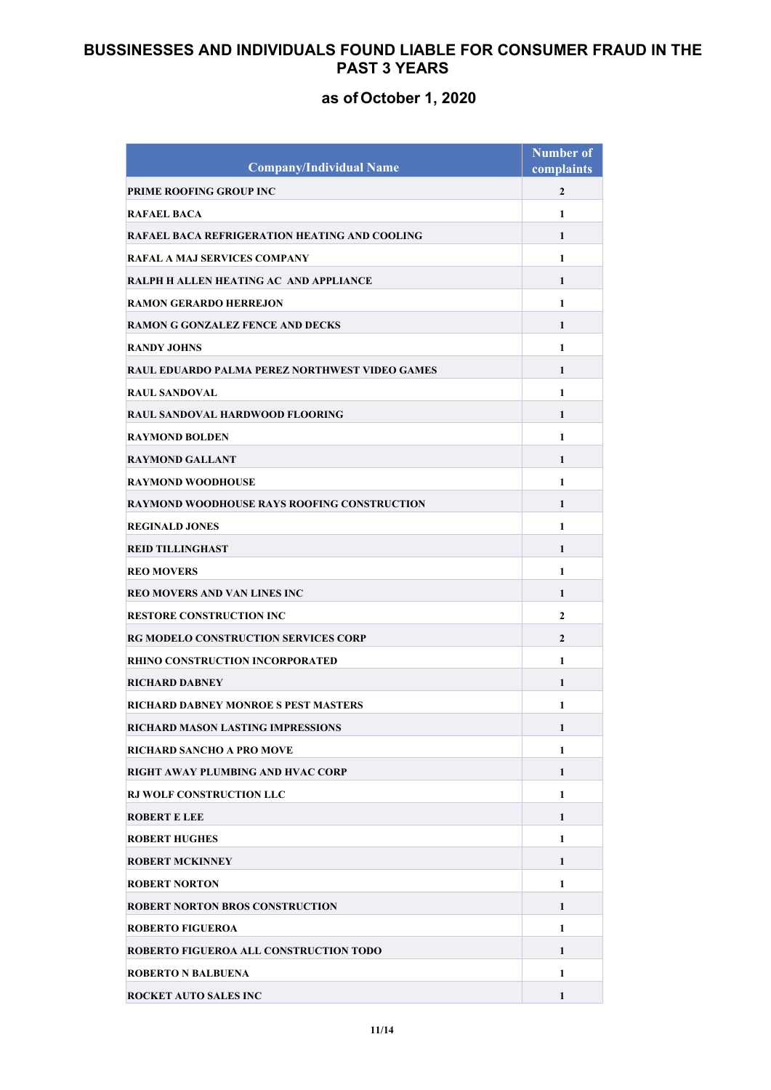| <b>Company/Individual Name</b>                     | <b>Number of</b><br>complaints |
|----------------------------------------------------|--------------------------------|
| PRIME ROOFING GROUP INC                            | $\overline{2}$                 |
| <b>RAFAEL BACA</b>                                 | $\mathbf{1}$                   |
| RAFAEL BACA REFRIGERATION HEATING AND COOLING      | $\mathbf{1}$                   |
| RAFAL A MAJ SERVICES COMPANY                       | $\mathbf{1}$                   |
| RALPH H ALLEN HEATING AC AND APPLIANCE             | 1                              |
| <b>RAMON GERARDO HERREJON</b>                      | $\mathbf{1}$                   |
| <b>RAMON G GONZALEZ FENCE AND DECKS</b>            | $\mathbf{1}$                   |
| <b>RANDY JOHNS</b>                                 | $\mathbf{1}$                   |
| RAUL EDUARDO PALMA PEREZ NORTHWEST VIDEO GAMES     | 1                              |
| <b>RAUL SANDOVAL</b>                               | $\mathbf{1}$                   |
| RAUL SANDOVAL HARDWOOD FLOORING                    | $\mathbf{1}$                   |
| <b>RAYMOND BOLDEN</b>                              | $\mathbf{1}$                   |
| <b>RAYMOND GALLANT</b>                             | $\mathbf{1}$                   |
| RAYMOND WOODHOUSE                                  | 1                              |
| <b>RAYMOND WOODHOUSE RAYS ROOFING CONSTRUCTION</b> | $\mathbf{1}$                   |
| <b>REGINALD JONES</b>                              | $\mathbf{1}$                   |
| <b>REID TILLINGHAST</b>                            | 1                              |
| <b>REO MOVERS</b>                                  | $\mathbf{1}$                   |
| REO MOVERS AND VAN LINES INC                       | $\mathbf{1}$                   |
| <b>RESTORE CONSTRUCTION INC</b>                    | $\mathbf{2}$                   |
| <b>RG MODELO CONSTRUCTION SERVICES CORP</b>        | $\mathbf{2}$                   |
| <b>RHINO CONSTRUCTION INCORPORATED</b>             | $\mathbf{1}$                   |
| <b>RICHARD DABNEY</b>                              | $\mathbf{1}$                   |
| RICHARD DABNEY MONROE S PEST MASTERS               | 1                              |
| RICHARD MASON LASTING IMPRESSIONS                  | 1                              |
| RICHARD SANCHO A PRO MOVE                          | $\mathbf{1}$                   |
| RIGHT AWAY PLUMBING AND HVAC CORP                  | $\mathbf{1}$                   |
| <b>RJ WOLF CONSTRUCTION LLC</b>                    | $\mathbf{1}$                   |
| <b>ROBERT E LEE</b>                                | 1                              |
| <b>ROBERT HUGHES</b>                               | 1                              |
| <b>ROBERT MCKINNEY</b>                             | 1                              |
| <b>ROBERT NORTON</b>                               | $\mathbf{1}$                   |
| <b>ROBERT NORTON BROS CONSTRUCTION</b>             | 1                              |
| <b>ROBERTO FIGUEROA</b>                            | $\mathbf{1}$                   |
| ROBERTO FIGUEROA ALL CONSTRUCTION TODO             | $\mathbf{1}$                   |
| <b>ROBERTO N BALBUENA</b>                          | 1                              |
| <b>ROCKET AUTO SALES INC</b>                       | 1                              |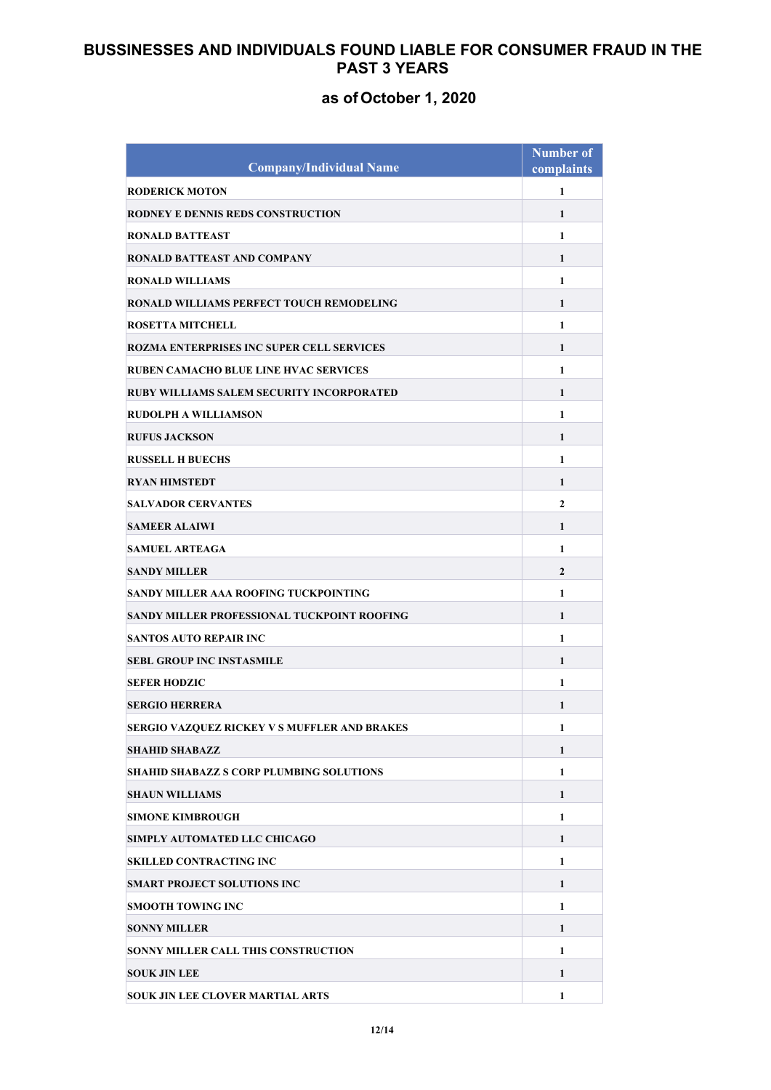|                                                  | <b>Number of</b> |
|--------------------------------------------------|------------------|
| <b>Company/Individual Name</b>                   | complaints       |
| <b>RODERICK MOTON</b>                            | 1                |
| <b>RODNEY E DENNIS REDS CONSTRUCTION</b>         | 1                |
| <b>RONALD BATTEAST</b>                           | $\mathbf{1}$     |
| <b>RONALD BATTEAST AND COMPANY</b>               | 1                |
| <b>RONALD WILLIAMS</b>                           | 1                |
| <b>RONALD WILLIAMS PERFECT TOUCH REMODELING</b>  | 1                |
| <b>ROSETTA MITCHELL</b>                          | 1                |
| <b>ROZMA ENTERPRISES INC SUPER CELL SERVICES</b> | 1                |
| RUBEN CAMACHO BLUE LINE HVAC SERVICES            | 1                |
| RUBY WILLIAMS SALEM SECURITY INCORPORATED        | 1                |
| <b>RUDOLPH A WILLIAMSON</b>                      | $\mathbf{1}$     |
| <b>RUFUS JACKSON</b>                             | 1                |
| <b>RUSSELL H BUECHS</b>                          | 1                |
| <b>RYAN HIMSTEDT</b>                             | 1                |
| <b>SALVADOR CERVANTES</b>                        | $\mathbf{2}$     |
| <b>SAMEER ALAIWI</b>                             | 1                |
| <b>SAMUEL ARTEAGA</b>                            | $\mathbf{1}$     |
| <b>SANDY MILLER</b>                              | $\overline{2}$   |
| SANDY MILLER AAA ROOFING TUCKPOINTING            | $\mathbf{1}$     |
| SANDY MILLER PROFESSIONAL TUCKPOINT ROOFING      | 1                |
| <b>SANTOS AUTO REPAIR INC</b>                    | 1                |
| <b>SEBL GROUP INC INSTASMILE</b>                 | 1                |
| <b>SEFER HODZIC</b>                              | 1                |
| <b>SERGIO HERRERA</b>                            | 1                |
| SERGIO VAZQUEZ RICKEY V S MUFFLER AND BRAKES     | 1                |
| <b>SHAHID SHABAZZ</b>                            | 1                |
| <b>SHAHID SHABAZZ S CORP PLUMBING SOLUTIONS</b>  | $\mathbf{1}$     |
| <b>SHAUN WILLIAMS</b>                            | 1                |
| <b>SIMONE KIMBROUGH</b>                          | 1                |
| SIMPLY AUTOMATED LLC CHICAGO                     | $\mathbf{1}$     |
| <b>SKILLED CONTRACTING INC</b>                   | 1                |
| <b>SMART PROJECT SOLUTIONS INC</b>               | 1                |
| <b>SMOOTH TOWING INC</b>                         | 1                |
| <b>SONNY MILLER</b>                              | $\mathbf{1}$     |
| <b>SONNY MILLER CALL THIS CONSTRUCTION</b>       | $\mathbf{1}$     |
| <b>SOUK JIN LEE</b>                              | 1                |
| <b>SOUK JIN LEE CLOVER MARTIAL ARTS</b>          | 1                |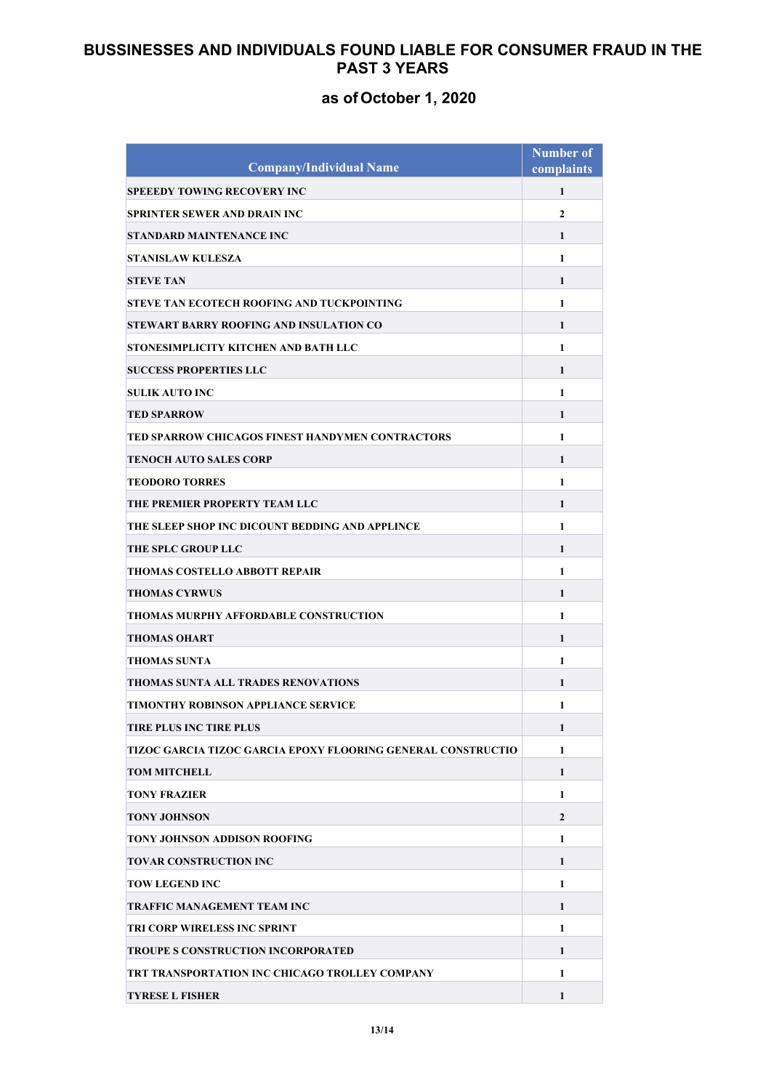| <b>Company/Individual Name</b>                               | <b>Number of</b><br>complaints |
|--------------------------------------------------------------|--------------------------------|
| <b>SPEEEDY TOWING RECOVERY INC</b>                           | 1                              |
|                                                              |                                |
| <b>SPRINTER SEWER AND DRAIN INC</b>                          | $\mathbf{2}$                   |
| STANDARD MAINTENANCE INC                                     | 1                              |
| <b>STANISLAW KULESZA</b>                                     | $\mathbf{1}$                   |
| <b>STEVE TAN</b>                                             | 1                              |
| STEVE TAN ECOTECH ROOFING AND TUCKPOINTING                   | $\mathbf{1}$                   |
| STEWART BARRY ROOFING AND INSULATION CO                      | 1                              |
| STONESIMPLICITY KITCHEN AND BATH LLC                         | 1                              |
| <b>SUCCESS PROPERTIES LLC</b>                                | 1                              |
| <b>SULIK AUTO INC</b>                                        | 1                              |
| <b>TED SPARROW</b>                                           | 1                              |
| TED SPARROW CHICAGOS FINEST HANDYMEN CONTRACTORS             | $\mathbf{1}$                   |
| TENOCH AUTO SALES CORP                                       | 1                              |
| <b>TEODORO TORRES</b>                                        | $\mathbf{1}$                   |
| THE PREMIER PROPERTY TEAM LLC                                | 1                              |
| THE SLEEP SHOP INC DICOUNT BEDDING AND APPLINCE              | 1                              |
| THE SPLC GROUP LLC                                           | 1                              |
| THOMAS COSTELLO ABBOTT REPAIR                                | $\mathbf{1}$                   |
| <b>THOMAS CYRWUS</b>                                         | $\mathbf{1}$                   |
| THOMAS MURPHY AFFORDABLE CONSTRUCTION                        | $\mathbf{1}$                   |
| THOMAS OHART                                                 | 1                              |
| THOMAS SUNTA                                                 | 1                              |
| THOMAS SUNTA ALL TRADES RENOVATIONS                          | 1                              |
| TIMONTHY ROBINSON APPLIANCE SERVICE                          | 1                              |
| TIRE PLUS INC TIRE PLUS                                      | 1                              |
| TIZOC GARCIA TIZOC GARCIA EPOXY FLOORING GENERAL CONSTRUCTIO | $\mathbf{1}$                   |
| <b>TOM MITCHELL</b>                                          | $\mathbf{1}$                   |
| <b>TONY FRAZIER</b>                                          | 1                              |
| <b>TONY JOHNSON</b>                                          | $\mathbf{2}$                   |
| TONY JOHNSON ADDISON ROOFING                                 | 1                              |
| TOVAR CONSTRUCTION INC                                       | 1                              |
| <b>TOW LEGEND INC</b>                                        | 1                              |
| TRAFFIC MANAGEMENT TEAM INC                                  | 1                              |
| TRI CORP WIRELESS INC SPRINT                                 | $\mathbf{1}$                   |
| TROUPE S CONSTRUCTION INCORPORATED                           | $\mathbf{1}$                   |
| TRT TRANSPORTATION INC CHICAGO TROLLEY COMPANY               | $\mathbf{1}$                   |
| <b>TYRESE L FISHER</b>                                       | 1                              |